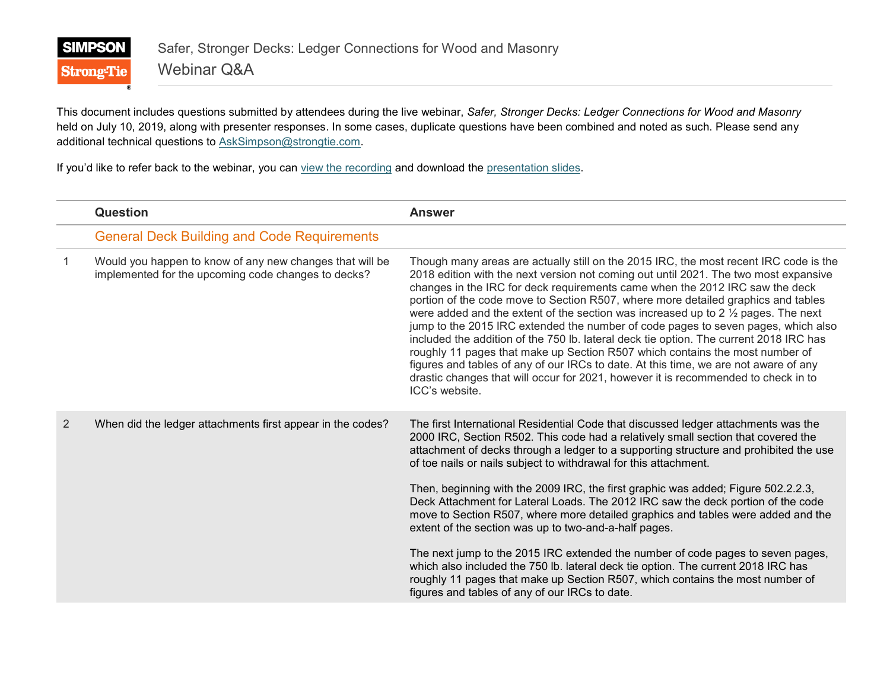

This document includes questions submitted by attendees during the live webinar, *Safer, Stronger Decks: Ledger Connections for Wood and Masonry* held on July 10, 2019, along with presenter responses. In some cases, duplicate questions have been combined and noted as such. Please send any additional technical questions to [AskSimpson@strongtie.com.](mailto:AskSimpson@strongtie.com)

If you'd like to refer back to the webinar, you can [view the recording](http://training.strongtie.com/stc/sstpub/psciis.dll?Course=sstpub&code=VCDCK19R) and download the [presentation slides.](http://training.strongtie.com/courseware/webinars/VCDCK19/Webinar_Slides.pdf)

|    | <b>Question</b>                                                                                                 | <b>Answer</b>                                                                                                                                                                                                                                                                                                                                                                                                                                                                                                                                                                                                                                                                                                                                                                                                                                                                                                                                                         |
|----|-----------------------------------------------------------------------------------------------------------------|-----------------------------------------------------------------------------------------------------------------------------------------------------------------------------------------------------------------------------------------------------------------------------------------------------------------------------------------------------------------------------------------------------------------------------------------------------------------------------------------------------------------------------------------------------------------------------------------------------------------------------------------------------------------------------------------------------------------------------------------------------------------------------------------------------------------------------------------------------------------------------------------------------------------------------------------------------------------------|
|    | <b>General Deck Building and Code Requirements</b>                                                              |                                                                                                                                                                                                                                                                                                                                                                                                                                                                                                                                                                                                                                                                                                                                                                                                                                                                                                                                                                       |
| -1 | Would you happen to know of any new changes that will be<br>implemented for the upcoming code changes to decks? | Though many areas are actually still on the 2015 IRC, the most recent IRC code is the<br>2018 edition with the next version not coming out until 2021. The two most expansive<br>changes in the IRC for deck requirements came when the 2012 IRC saw the deck<br>portion of the code move to Section R507, where more detailed graphics and tables<br>were added and the extent of the section was increased up to $2\frac{1}{2}$ pages. The next<br>jump to the 2015 IRC extended the number of code pages to seven pages, which also<br>included the addition of the 750 lb. lateral deck tie option. The current 2018 IRC has<br>roughly 11 pages that make up Section R507 which contains the most number of<br>figures and tables of any of our IRCs to date. At this time, we are not aware of any<br>drastic changes that will occur for 2021, however it is recommended to check in to<br>ICC's website.                                                      |
| 2  | When did the ledger attachments first appear in the codes?                                                      | The first International Residential Code that discussed ledger attachments was the<br>2000 IRC, Section R502. This code had a relatively small section that covered the<br>attachment of decks through a ledger to a supporting structure and prohibited the use<br>of toe nails or nails subject to withdrawal for this attachment.<br>Then, beginning with the 2009 IRC, the first graphic was added; Figure 502.2.2.3,<br>Deck Attachment for Lateral Loads. The 2012 IRC saw the deck portion of the code<br>move to Section R507, where more detailed graphics and tables were added and the<br>extent of the section was up to two-and-a-half pages.<br>The next jump to the 2015 IRC extended the number of code pages to seven pages,<br>which also included the 750 lb. lateral deck tie option. The current 2018 IRC has<br>roughly 11 pages that make up Section R507, which contains the most number of<br>figures and tables of any of our IRCs to date. |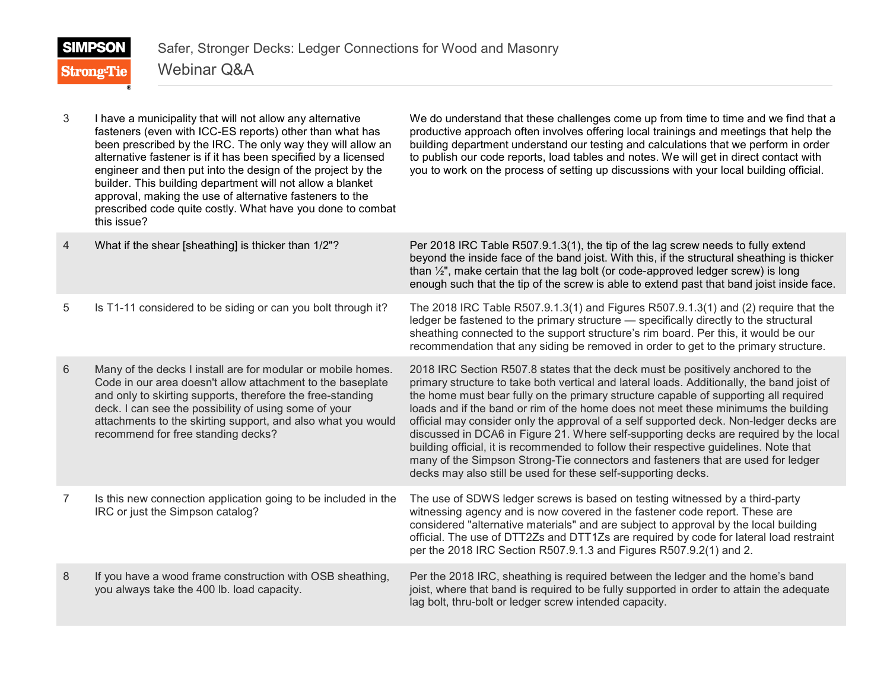| 3 | I have a municipality that will not allow any alternative<br>fasteners (even with ICC-ES reports) other than what has<br>been prescribed by the IRC. The only way they will allow an<br>alternative fastener is if it has been specified by a licensed<br>engineer and then put into the design of the project by the<br>builder. This building department will not allow a blanket<br>approval, making the use of alternative fasteners to the<br>prescribed code quite costly. What have you done to combat<br>this issue? | We do understand that these challenges come up from time to time and we find that a<br>productive approach often involves offering local trainings and meetings that help the<br>building department understand our testing and calculations that we perform in order<br>to publish our code reports, load tables and notes. We will get in direct contact with<br>you to work on the process of setting up discussions with your local building official.                                                                                                                                                                                                                                                                                                                                   |
|---|------------------------------------------------------------------------------------------------------------------------------------------------------------------------------------------------------------------------------------------------------------------------------------------------------------------------------------------------------------------------------------------------------------------------------------------------------------------------------------------------------------------------------|----------------------------------------------------------------------------------------------------------------------------------------------------------------------------------------------------------------------------------------------------------------------------------------------------------------------------------------------------------------------------------------------------------------------------------------------------------------------------------------------------------------------------------------------------------------------------------------------------------------------------------------------------------------------------------------------------------------------------------------------------------------------------------------------|
| 4 | What if the shear [sheathing] is thicker than 1/2"?                                                                                                                                                                                                                                                                                                                                                                                                                                                                          | Per 2018 IRC Table R507.9.1.3(1), the tip of the lag screw needs to fully extend<br>beyond the inside face of the band joist. With this, if the structural sheathing is thicker<br>than 1/2", make certain that the lag bolt (or code-approved ledger screw) is long<br>enough such that the tip of the screw is able to extend past that band joist inside face.                                                                                                                                                                                                                                                                                                                                                                                                                            |
| 5 | Is T1-11 considered to be siding or can you bolt through it?                                                                                                                                                                                                                                                                                                                                                                                                                                                                 | The 2018 IRC Table R507.9.1.3(1) and Figures R507.9.1.3(1) and (2) require that the<br>ledger be fastened to the primary structure - specifically directly to the structural<br>sheathing connected to the support structure's rim board. Per this, it would be our<br>recommendation that any siding be removed in order to get to the primary structure.                                                                                                                                                                                                                                                                                                                                                                                                                                   |
| 6 | Many of the decks I install are for modular or mobile homes.<br>Code in our area doesn't allow attachment to the baseplate<br>and only to skirting supports, therefore the free-standing<br>deck. I can see the possibility of using some of your<br>attachments to the skirting support, and also what you would<br>recommend for free standing decks?                                                                                                                                                                      | 2018 IRC Section R507.8 states that the deck must be positively anchored to the<br>primary structure to take both vertical and lateral loads. Additionally, the band joist of<br>the home must bear fully on the primary structure capable of supporting all required<br>loads and if the band or rim of the home does not meet these minimums the building<br>official may consider only the approval of a self supported deck. Non-ledger decks are<br>discussed in DCA6 in Figure 21. Where self-supporting decks are required by the local<br>building official, it is recommended to follow their respective guidelines. Note that<br>many of the Simpson Strong-Tie connectors and fasteners that are used for ledger<br>decks may also still be used for these self-supporting decks. |
| 7 | Is this new connection application going to be included in the<br>IRC or just the Simpson catalog?                                                                                                                                                                                                                                                                                                                                                                                                                           | The use of SDWS ledger screws is based on testing witnessed by a third-party<br>witnessing agency and is now covered in the fastener code report. These are<br>considered "alternative materials" and are subject to approval by the local building<br>official. The use of DTT2Zs and DTT1Zs are required by code for lateral load restraint<br>per the 2018 IRC Section R507.9.1.3 and Figures R507.9.2(1) and 2.                                                                                                                                                                                                                                                                                                                                                                          |
| 8 | If you have a wood frame construction with OSB sheathing,<br>you always take the 400 lb. load capacity.                                                                                                                                                                                                                                                                                                                                                                                                                      | Per the 2018 IRC, sheathing is required between the ledger and the home's band<br>joist, where that band is required to be fully supported in order to attain the adequate<br>lag bolt, thru-bolt or ledger screw intended capacity.                                                                                                                                                                                                                                                                                                                                                                                                                                                                                                                                                         |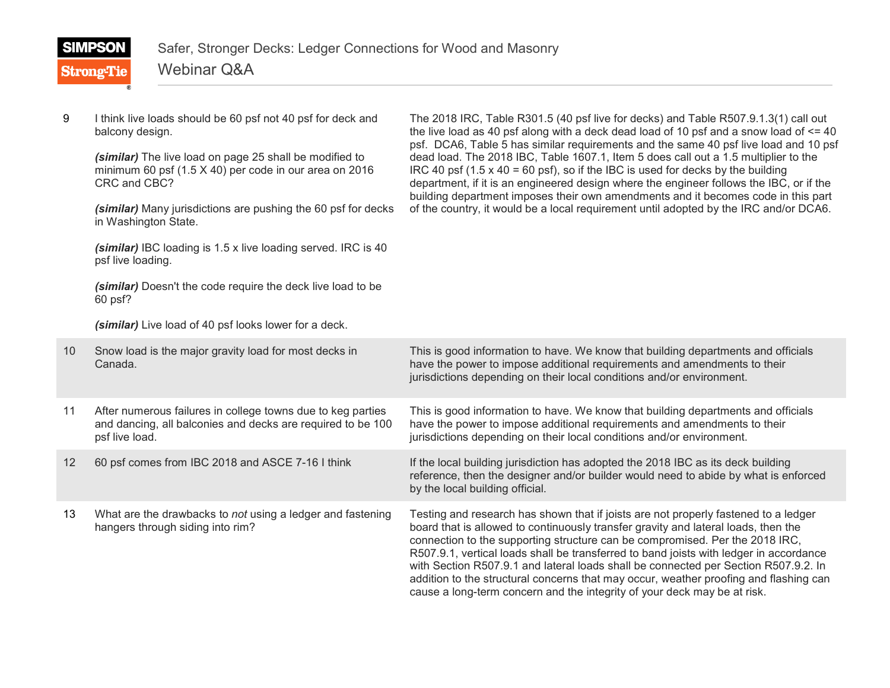|   | <b>SIMPSON</b><br><b>Strong-Tie</b> | Safer, Stronger Decks: Ledger Connections for Wood and Masonry<br><b>Webinar Q&amp;A</b>                          |                                                                                                                                                                                                                                                                                                                                                                        |
|---|-------------------------------------|-------------------------------------------------------------------------------------------------------------------|------------------------------------------------------------------------------------------------------------------------------------------------------------------------------------------------------------------------------------------------------------------------------------------------------------------------------------------------------------------------|
|   |                                     |                                                                                                                   |                                                                                                                                                                                                                                                                                                                                                                        |
| 9 | balcony design.                     | I think live loads should be 60 psf not 40 psf for deck and                                                       | The 2018 IRC, Table R301.5 (40 psf live for decks) and Table R507.9.1.3(1) call out<br>the live load as 40 psf along with a deck dead load of 10 psf and a snow load of $\leq$ 40<br>psf. DCA6, Table 5 has similar requirements and the same 40 psf live load and 10 psf                                                                                              |
|   | CRC and CBC?                        | (similar) The live load on page 25 shall be modified to<br>minimum 60 psf (1.5 X 40) per code in our area on 2016 | dead load. The 2018 IBC, Table 1607.1, Item 5 does call out a 1.5 multiplier to the<br>IRC 40 psf $(1.5 \times 40 = 60 \text{ psf})$ , so if the IBC is used for decks by the building<br>department, if it is an engineered design where the engineer follows the IBC, or if the<br>building department imposes their own amendments and it becomes code in this part |
|   | in Washington State.                | (similar) Many jurisdictions are pushing the 60 psf for decks                                                     | of the country, it would be a local requirement until adopted by the IRC and/or DCA6.                                                                                                                                                                                                                                                                                  |
|   | psf live loading.                   | (similar) IBC loading is 1.5 x live loading served. IRC is 40                                                     |                                                                                                                                                                                                                                                                                                                                                                        |
|   | 60 psf?                             | (similar) Doesn't the code require the deck live load to be                                                       |                                                                                                                                                                                                                                                                                                                                                                        |

*(similar)* Live load of 40 psf looks lower for a deck.

| 10 <sup>°</sup> | Snow load is the major gravity load for most decks in<br>Canada.                                                                             | This is good information to have. We know that building departments and officials<br>have the power to impose additional requirements and amendments to their<br>jurisdictions depending on their local conditions and/or environment.                                                                                                                                                                                                                                                                                                                                                                          |
|-----------------|----------------------------------------------------------------------------------------------------------------------------------------------|-----------------------------------------------------------------------------------------------------------------------------------------------------------------------------------------------------------------------------------------------------------------------------------------------------------------------------------------------------------------------------------------------------------------------------------------------------------------------------------------------------------------------------------------------------------------------------------------------------------------|
| 11              | After numerous failures in college towns due to keg parties<br>and dancing, all balconies and decks are required to be 100<br>psf live load. | This is good information to have. We know that building departments and officials<br>have the power to impose additional requirements and amendments to their<br>jurisdictions depending on their local conditions and/or environment.                                                                                                                                                                                                                                                                                                                                                                          |
| $12 \,$         | 60 psf comes from IBC 2018 and ASCE 7-16 I think                                                                                             | If the local building jurisdiction has adopted the 2018 IBC as its deck building<br>reference, then the designer and/or builder would need to abide by what is enforced<br>by the local building official.                                                                                                                                                                                                                                                                                                                                                                                                      |
| 13              | What are the drawbacks to not using a ledger and fastening<br>hangers through siding into rim?                                               | Testing and research has shown that if joists are not properly fastened to a ledger<br>board that is allowed to continuously transfer gravity and lateral loads, then the<br>connection to the supporting structure can be compromised. Per the 2018 IRC,<br>R507.9.1, vertical loads shall be transferred to band joists with ledger in accordance<br>with Section R507.9.1 and lateral loads shall be connected per Section R507.9.2. In<br>addition to the structural concerns that may occur, weather proofing and flashing can<br>cause a long-term concern and the integrity of your deck may be at risk. |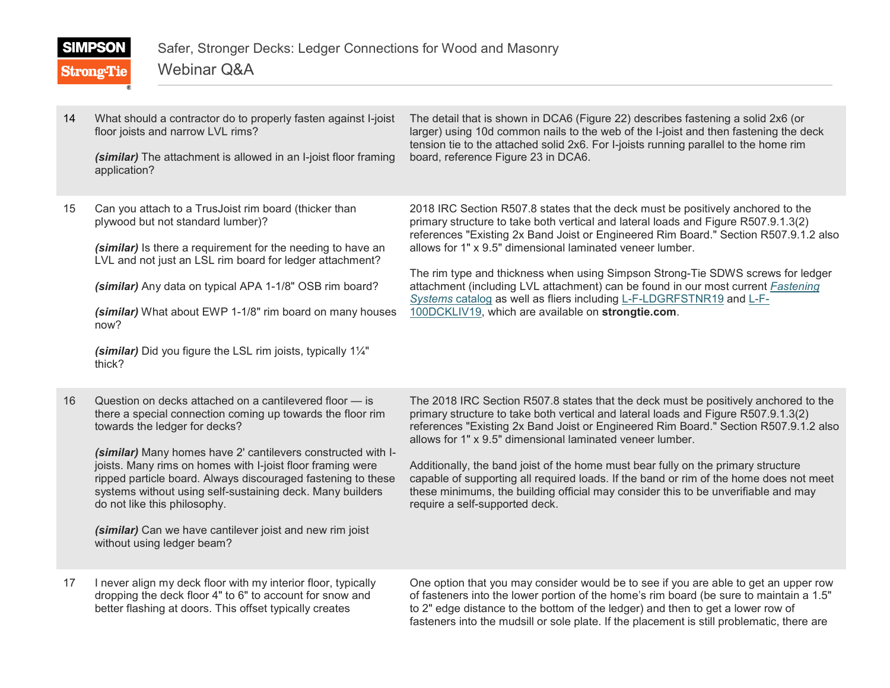| ı | M |  |  |
|---|---|--|--|
|---|---|--|--|

**Strong-Tie** 

Webinar Q&A

| 14 | What should a contractor do to properly fasten against I-joist<br>floor joists and narrow LVL rims?<br>(similar) The attachment is allowed in an I-joist floor framing<br>application?                                                                                                                                                                                                                                         | The detail that is shown in DCA6 (Figure 22) describes fastening a solid 2x6 (or<br>larger) using 10d common nails to the web of the I-joist and then fastening the deck<br>tension tie to the attached solid 2x6. For I-joists running parallel to the home rim<br>board, reference Figure 23 in DCA6.                                                                                                                                                                                                                                                                                                                         |
|----|--------------------------------------------------------------------------------------------------------------------------------------------------------------------------------------------------------------------------------------------------------------------------------------------------------------------------------------------------------------------------------------------------------------------------------|---------------------------------------------------------------------------------------------------------------------------------------------------------------------------------------------------------------------------------------------------------------------------------------------------------------------------------------------------------------------------------------------------------------------------------------------------------------------------------------------------------------------------------------------------------------------------------------------------------------------------------|
| 15 | Can you attach to a TrusJoist rim board (thicker than<br>plywood but not standard lumber)?<br>(similar) Is there a requirement for the needing to have an<br>LVL and not just an LSL rim board for ledger attachment?<br>(similar) Any data on typical APA 1-1/8" OSB rim board?<br>(similar) What about EWP 1-1/8" rim board on many houses<br>now?<br>(similar) Did you figure the LSL rim joists, typically 11/4"<br>thick? | 2018 IRC Section R507.8 states that the deck must be positively anchored to the<br>primary structure to take both vertical and lateral loads and Figure R507.9.1.3(2)<br>references "Existing 2x Band Joist or Engineered Rim Board." Section R507.9.1.2 also<br>allows for 1" x 9.5" dimensional laminated veneer lumber.<br>The rim type and thickness when using Simpson Strong-Tie SDWS screws for ledger<br>attachment (including LVL attachment) can be found in our most current Fastening<br>Systems catalog as well as fliers including L-F-LDGRFSTNR19 and L-F-<br>100DCKLIV19, which are available on strongtie.com. |
| 16 | Question on decks attached on a cantilevered floor – is<br>there a special connection coming up towards the floor rim                                                                                                                                                                                                                                                                                                          | The 2018 IRC Section R507.8 states that the deck must be positively anchored to the<br>primary structure to take both vertical and lateral loads and Figure R507.9.1.3(2)                                                                                                                                                                                                                                                                                                                                                                                                                                                       |

*(similar)* Many homes have 2' cantilevers constructed with Ijoists. Many rims on homes with I-joist floor framing were ripped particle board. Always discouraged fastening to these systems without using self-sustaining deck. Many builders do not like this philosophy.

*(similar)* Can we have cantilever joist and new rim joist without using ledger beam?

towards the ledger for decks?

17 I never align my deck floor with my interior floor, typically dropping the deck floor 4" to 6" to account for snow and better flashing at doors. This offset typically creates

One option that you may consider would be to see if you are able to get an upper row of fasteners into the lower portion of the home's rim board (be sure to maintain a 1.5" to 2" edge distance to the bottom of the ledger) and then to get a lower row of fasteners into the mudsill or sole plate. If the placement is still problematic, there are

references "Existing 2x Band Joist or Engineered Rim Board." Section R507.9.1.2 also allows for 1" x 9.5" dimensional laminated veneer lumber. Additionally, the band joist of the home must bear fully on the primary structure

capable of supporting all required loads. If the band or rim of the home does not meet these minimums, the building official may consider this to be unverifiable and may require a self-supported deck.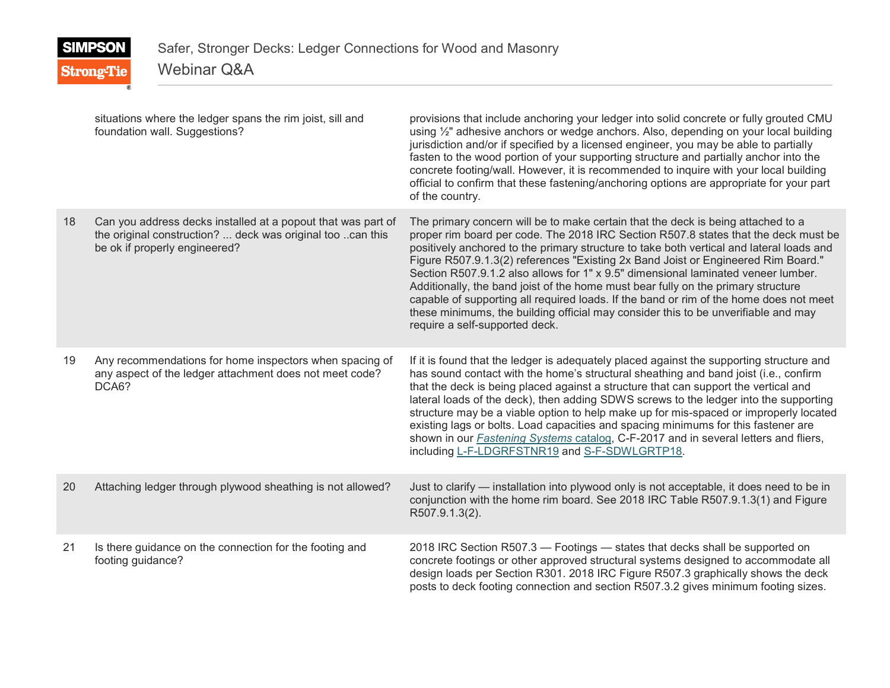# **SIMPSON Strong-Tie**

## Webinar Q&A

|    | situations where the ledger spans the rim joist, sill and<br>foundation wall. Suggestions?                                                                  | provisions that include anchoring your ledger into solid concrete or fully grouted CMU<br>using 1/2" adhesive anchors or wedge anchors. Also, depending on your local building<br>jurisdiction and/or if specified by a licensed engineer, you may be able to partially<br>fasten to the wood portion of your supporting structure and partially anchor into the<br>concrete footing/wall. However, it is recommended to inquire with your local building<br>official to confirm that these fastening/anchoring options are appropriate for your part<br>of the country.                                                                                                                                                                             |
|----|-------------------------------------------------------------------------------------------------------------------------------------------------------------|------------------------------------------------------------------------------------------------------------------------------------------------------------------------------------------------------------------------------------------------------------------------------------------------------------------------------------------------------------------------------------------------------------------------------------------------------------------------------------------------------------------------------------------------------------------------------------------------------------------------------------------------------------------------------------------------------------------------------------------------------|
| 18 | Can you address decks installed at a popout that was part of<br>the original construction?  deck was original too can this<br>be ok if properly engineered? | The primary concern will be to make certain that the deck is being attached to a<br>proper rim board per code. The 2018 IRC Section R507.8 states that the deck must be<br>positively anchored to the primary structure to take both vertical and lateral loads and<br>Figure R507.9.1.3(2) references "Existing 2x Band Joist or Engineered Rim Board."<br>Section R507.9.1.2 also allows for 1" x 9.5" dimensional laminated veneer lumber.<br>Additionally, the band joist of the home must bear fully on the primary structure<br>capable of supporting all required loads. If the band or rim of the home does not meet<br>these minimums, the building official may consider this to be unverifiable and may<br>require a self-supported deck. |
| 19 | Any recommendations for home inspectors when spacing of<br>any aspect of the ledger attachment does not meet code?<br>DCA6?                                 | If it is found that the ledger is adequately placed against the supporting structure and<br>has sound contact with the home's structural sheathing and band joist (i.e., confirm<br>that the deck is being placed against a structure that can support the vertical and<br>lateral loads of the deck), then adding SDWS screws to the ledger into the supporting<br>structure may be a viable option to help make up for mis-spaced or improperly located<br>existing lags or bolts. Load capacities and spacing minimums for this fastener are<br>shown in our <b>Fastening Systems catalog</b> , C-F-2017 and in several letters and fliers,<br>including L-F-LDGRFSTNR19 and S-F-SDWLGRTP18.                                                      |
| 20 | Attaching ledger through plywood sheathing is not allowed?                                                                                                  | Just to clarify — installation into plywood only is not acceptable, it does need to be in<br>conjunction with the home rim board. See 2018 IRC Table R507.9.1.3(1) and Figure<br>R507.9.1.3(2).                                                                                                                                                                                                                                                                                                                                                                                                                                                                                                                                                      |
| 21 | Is there guidance on the connection for the footing and<br>footing guidance?                                                                                | 2018 IRC Section R507.3 - Footings - states that decks shall be supported on<br>concrete footings or other approved structural systems designed to accommodate all<br>design loads per Section R301. 2018 IRC Figure R507.3 graphically shows the deck<br>posts to deck footing connection and section R507.3.2 gives minimum footing sizes.                                                                                                                                                                                                                                                                                                                                                                                                         |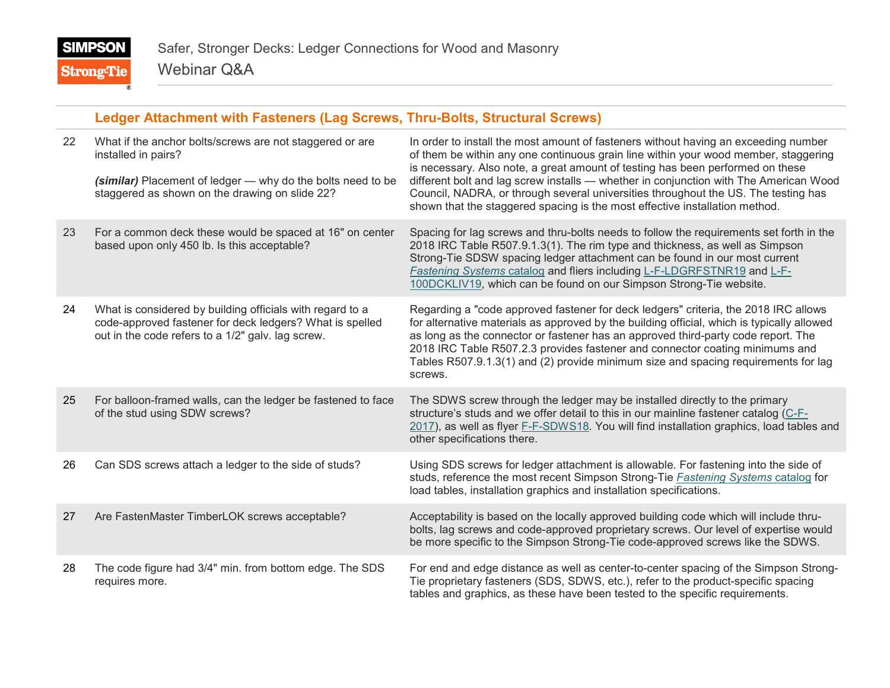## **Ledger Attachment with Fasteners (Lag Screws, Thru-Bolts, Structural Screws)**

| 22 | What if the anchor bolts/screws are not staggered or are<br>installed in pairs?<br>(similar) Placement of ledger - why do the bolts need to be<br>staggered as shown on the drawing on slide 22? | In order to install the most amount of fasteners without having an exceeding number<br>of them be within any one continuous grain line within your wood member, staggering<br>is necessary. Also note, a great amount of testing has been performed on these<br>different bolt and lag screw installs — whether in conjunction with The American Wood<br>Council, NADRA, or through several universities throughout the US. The testing has<br>shown that the staggered spacing is the most effective installation method. |
|----|--------------------------------------------------------------------------------------------------------------------------------------------------------------------------------------------------|----------------------------------------------------------------------------------------------------------------------------------------------------------------------------------------------------------------------------------------------------------------------------------------------------------------------------------------------------------------------------------------------------------------------------------------------------------------------------------------------------------------------------|
| 23 | For a common deck these would be spaced at 16" on center<br>based upon only 450 lb. Is this acceptable?                                                                                          | Spacing for lag screws and thru-bolts needs to follow the requirements set forth in the<br>2018 IRC Table R507.9.1.3(1). The rim type and thickness, as well as Simpson<br>Strong-Tie SDSW spacing ledger attachment can be found in our most current<br>Fastening Systems catalog and fliers including L-F-LDGRFSTNR19 and L-F-<br>100DCKLIV19, which can be found on our Simpson Strong-Tie website.                                                                                                                     |
| 24 | What is considered by building officials with regard to a<br>code-approved fastener for deck ledgers? What is spelled<br>out in the code refers to a 1/2" galv. lag screw.                       | Regarding a "code approved fastener for deck ledgers" criteria, the 2018 IRC allows<br>for alternative materials as approved by the building official, which is typically allowed<br>as long as the connector or fastener has an approved third-party code report. The<br>2018 IRC Table R507.2.3 provides fastener and connector coating minimums and<br>Tables R507.9.1.3(1) and (2) provide minimum size and spacing requirements for lag<br>screws.                                                                    |
| 25 | For balloon-framed walls, can the ledger be fastened to face<br>of the stud using SDW screws?                                                                                                    | The SDWS screw through the ledger may be installed directly to the primary<br>structure's studs and we offer detail to this in our mainline fastener catalog (C-F-<br>2017), as well as flyer F-F-SDWS18. You will find installation graphics, load tables and<br>other specifications there.                                                                                                                                                                                                                              |
| 26 | Can SDS screws attach a ledger to the side of studs?                                                                                                                                             | Using SDS screws for ledger attachment is allowable. For fastening into the side of<br>studs, reference the most recent Simpson Strong-Tie Fastening Systems catalog for<br>load tables, installation graphics and installation specifications.                                                                                                                                                                                                                                                                            |
| 27 | Are FastenMaster TimberLOK screws acceptable?                                                                                                                                                    | Acceptability is based on the locally approved building code which will include thru-<br>bolts, lag screws and code-approved proprietary screws. Our level of expertise would<br>be more specific to the Simpson Strong-Tie code-approved screws like the SDWS.                                                                                                                                                                                                                                                            |
| 28 | The code figure had 3/4" min. from bottom edge. The SDS<br>requires more.                                                                                                                        | For end and edge distance as well as center-to-center spacing of the Simpson Strong-<br>Tie proprietary fasteners (SDS, SDWS, etc.), refer to the product-specific spacing<br>tables and graphics, as these have been tested to the specific requirements.                                                                                                                                                                                                                                                                 |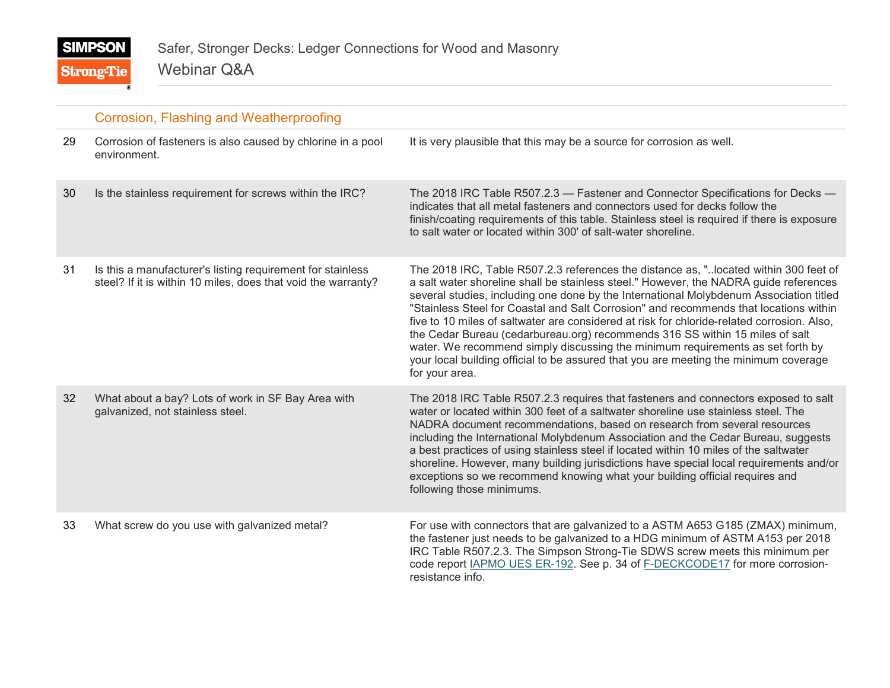|    | Corrosion, Flashing and Weatherproofing                                                                                     |                                                                                                                                                                                                                                                                                                                                                                                                                                                                                                                                                                                                                                                                                                                                            |
|----|-----------------------------------------------------------------------------------------------------------------------------|--------------------------------------------------------------------------------------------------------------------------------------------------------------------------------------------------------------------------------------------------------------------------------------------------------------------------------------------------------------------------------------------------------------------------------------------------------------------------------------------------------------------------------------------------------------------------------------------------------------------------------------------------------------------------------------------------------------------------------------------|
| 29 | Corrosion of fasteners is also caused by chlorine in a pool<br>environment.                                                 | It is very plausible that this may be a source for corrosion as well.                                                                                                                                                                                                                                                                                                                                                                                                                                                                                                                                                                                                                                                                      |
| 30 | Is the stainless requirement for screws within the IRC?                                                                     | The 2018 IRC Table R507.2.3 - Fastener and Connector Specifications for Decks -<br>indicates that all metal fasteners and connectors used for decks follow the<br>finish/coating requirements of this table. Stainless steel is required if there is exposure<br>to salt water or located within 300' of salt-water shoreline.                                                                                                                                                                                                                                                                                                                                                                                                             |
| 31 | Is this a manufacturer's listing requirement for stainless<br>steel? If it is within 10 miles, does that void the warranty? | The 2018 IRC, Table R507.2.3 references the distance as, "located within 300 feet of<br>a salt water shoreline shall be stainless steel." However, the NADRA guide references<br>several studies, including one done by the International Molybdenum Association titled<br>"Stainless Steel for Coastal and Salt Corrosion" and recommends that locations within<br>five to 10 miles of saltwater are considered at risk for chloride-related corrosion. Also,<br>the Cedar Bureau (cedarbureau.org) recommends 316 SS within 15 miles of salt<br>water. We recommend simply discussing the minimum requirements as set forth by<br>your local building official to be assured that you are meeting the minimum coverage<br>for your area. |
| 32 | What about a bay? Lots of work in SF Bay Area with<br>galvanized, not stainless steel.                                      | The 2018 IRC Table R507.2.3 requires that fasteners and connectors exposed to salt<br>water or located within 300 feet of a saltwater shoreline use stainless steel. The<br>NADRA document recommendations, based on research from several resources<br>including the International Molybdenum Association and the Cedar Bureau, suggests<br>a best practices of using stainless steel if located within 10 miles of the saltwater<br>shoreline. However, many building jurisdictions have special local requirements and/or<br>exceptions so we recommend knowing what your building official requires and<br>following those minimums.                                                                                                   |
| 33 | What screw do you use with galvanized metal?                                                                                | For use with connectors that are galvanized to a ASTM A653 G185 (ZMAX) minimum,<br>the fastener just needs to be galvanized to a HDG minimum of ASTM A153 per 2018<br>IRC Table R507.2.3. The Simpson Strong-Tie SDWS screw meets this minimum per<br>code report IAPMO UES ER-192. See p. 34 of F-DECKCODE17 for more corrosion-<br>resistance info.                                                                                                                                                                                                                                                                                                                                                                                      |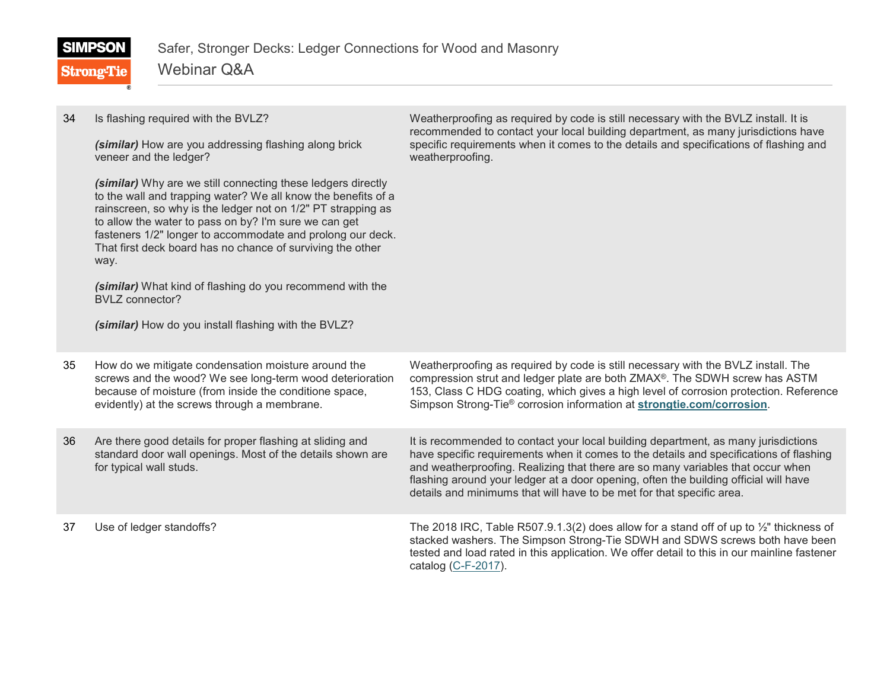| <b>SIMPSON</b>    | Safer, Stronger Decks: Ledger Connections for Wood and Masonry |
|-------------------|----------------------------------------------------------------|
| <b>Strong-Tie</b> | Webinar Q&A                                                    |

| 34 | Is flashing required with the BVLZ?<br>(similar) How are you addressing flashing along brick<br>veneer and the ledger?<br>(similar) Why are we still connecting these ledgers directly<br>to the wall and trapping water? We all know the benefits of a<br>rainscreen, so why is the ledger not on 1/2" PT strapping as<br>to allow the water to pass on by? I'm sure we can get<br>fasteners 1/2" longer to accommodate and prolong our deck.<br>That first deck board has no chance of surviving the other<br>way.<br>(similar) What kind of flashing do you recommend with the<br><b>BVLZ</b> connector?<br>(similar) How do you install flashing with the BVLZ? | Weatherproofing as required by code is still necessary with the BVLZ install. It is<br>recommended to contact your local building department, as many jurisdictions have<br>specific requirements when it comes to the details and specifications of flashing and<br>weatherproofing.                                                                                                                                            |
|----|---------------------------------------------------------------------------------------------------------------------------------------------------------------------------------------------------------------------------------------------------------------------------------------------------------------------------------------------------------------------------------------------------------------------------------------------------------------------------------------------------------------------------------------------------------------------------------------------------------------------------------------------------------------------|----------------------------------------------------------------------------------------------------------------------------------------------------------------------------------------------------------------------------------------------------------------------------------------------------------------------------------------------------------------------------------------------------------------------------------|
| 35 | How do we mitigate condensation moisture around the<br>screws and the wood? We see long-term wood deterioration<br>because of moisture (from inside the conditione space,<br>evidently) at the screws through a membrane.                                                                                                                                                                                                                                                                                                                                                                                                                                           | Weatherproofing as required by code is still necessary with the BVLZ install. The<br>compression strut and ledger plate are both ZMAX®. The SDWH screw has ASTM<br>153, Class C HDG coating, which gives a high level of corrosion protection. Reference<br>Simpson Strong-Tie® corrosion information at strongtie.com/corrosion.                                                                                                |
| 36 | Are there good details for proper flashing at sliding and<br>standard door wall openings. Most of the details shown are<br>for typical wall studs.                                                                                                                                                                                                                                                                                                                                                                                                                                                                                                                  | It is recommended to contact your local building department, as many jurisdictions<br>have specific requirements when it comes to the details and specifications of flashing<br>and weatherproofing. Realizing that there are so many variables that occur when<br>flashing around your ledger at a door opening, often the building official will have<br>details and minimums that will have to be met for that specific area. |
| 37 | Use of ledger standoffs?                                                                                                                                                                                                                                                                                                                                                                                                                                                                                                                                                                                                                                            | The 2018 IRC, Table R507.9.1.3(2) does allow for a stand off of up to $\frac{1}{2}$ " thickness of<br>stacked washers. The Simpson Strong-Tie SDWH and SDWS screws both have been<br>tested and load rated in this application. We offer detail to this in our mainline fastener<br>catalog $(C-F-2017)$ .                                                                                                                       |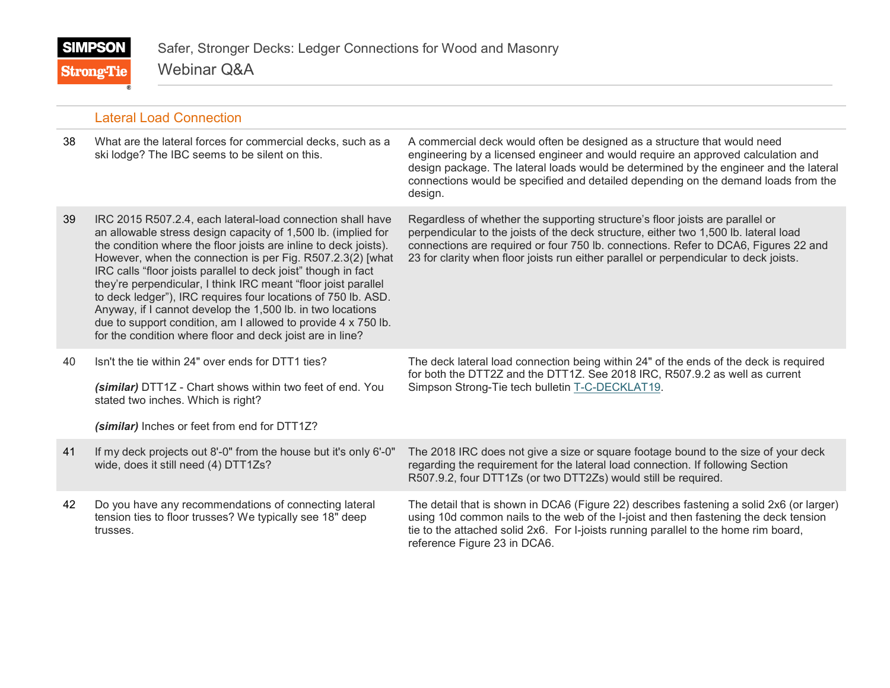Webinar Q&A **Strong-Tie** 

|    | <b>Lateral Load Connection</b>                                                                                                                                                                                                                                                                                                                                                                                                                                                                                                                                                                                                                                 |                                                                                                                                                                                                                                                                                                                                                        |
|----|----------------------------------------------------------------------------------------------------------------------------------------------------------------------------------------------------------------------------------------------------------------------------------------------------------------------------------------------------------------------------------------------------------------------------------------------------------------------------------------------------------------------------------------------------------------------------------------------------------------------------------------------------------------|--------------------------------------------------------------------------------------------------------------------------------------------------------------------------------------------------------------------------------------------------------------------------------------------------------------------------------------------------------|
| 38 | What are the lateral forces for commercial decks, such as a<br>ski lodge? The IBC seems to be silent on this.                                                                                                                                                                                                                                                                                                                                                                                                                                                                                                                                                  | A commercial deck would often be designed as a structure that would need<br>engineering by a licensed engineer and would require an approved calculation and<br>design package. The lateral loads would be determined by the engineer and the lateral<br>connections would be specified and detailed depending on the demand loads from the<br>design. |
| 39 | IRC 2015 R507.2.4, each lateral-load connection shall have<br>an allowable stress design capacity of 1,500 lb. (implied for<br>the condition where the floor joists are inline to deck joists).<br>However, when the connection is per Fig. R507.2.3(2) [what<br>IRC calls "floor joists parallel to deck joist" though in fact<br>they're perpendicular, I think IRC meant "floor joist parallel<br>to deck ledger"), IRC requires four locations of 750 lb. ASD.<br>Anyway, if I cannot develop the 1,500 lb. in two locations<br>due to support condition, am I allowed to provide 4 x 750 lb.<br>for the condition where floor and deck joist are in line? | Regardless of whether the supporting structure's floor joists are parallel or<br>perpendicular to the joists of the deck structure, either two 1,500 lb. lateral load<br>connections are required or four 750 lb. connections. Refer to DCA6, Figures 22 and<br>23 for clarity when floor joists run either parallel or perpendicular to deck joists.  |
| 40 | Isn't the tie within 24" over ends for DTT1 ties?<br>(similar) DTT1Z - Chart shows within two feet of end. You<br>stated two inches. Which is right?<br>(similar) Inches or feet from end for DTT1Z?                                                                                                                                                                                                                                                                                                                                                                                                                                                           | The deck lateral load connection being within 24" of the ends of the deck is required<br>for both the DTT2Z and the DTT1Z. See 2018 IRC, R507.9.2 as well as current<br>Simpson Strong-Tie tech bulletin T-C-DECKLAT19.                                                                                                                                |
| 41 | If my deck projects out 8'-0" from the house but it's only 6'-0"<br>wide, does it still need (4) DTT1Zs?                                                                                                                                                                                                                                                                                                                                                                                                                                                                                                                                                       | The 2018 IRC does not give a size or square footage bound to the size of your deck<br>regarding the requirement for the lateral load connection. If following Section<br>R507.9.2, four DTT1Zs (or two DTT2Zs) would still be required.                                                                                                                |
| 42 | Do you have any recommendations of connecting lateral<br>tension ties to floor trusses? We typically see 18" deep<br>trusses.                                                                                                                                                                                                                                                                                                                                                                                                                                                                                                                                  | The detail that is shown in DCA6 (Figure 22) describes fastening a solid 2x6 (or larger)<br>using 10d common nails to the web of the I-joist and then fastening the deck tension<br>tie to the attached solid 2x6. For I-joists running parallel to the home rim board,<br>reference Figure 23 in DCA6.                                                |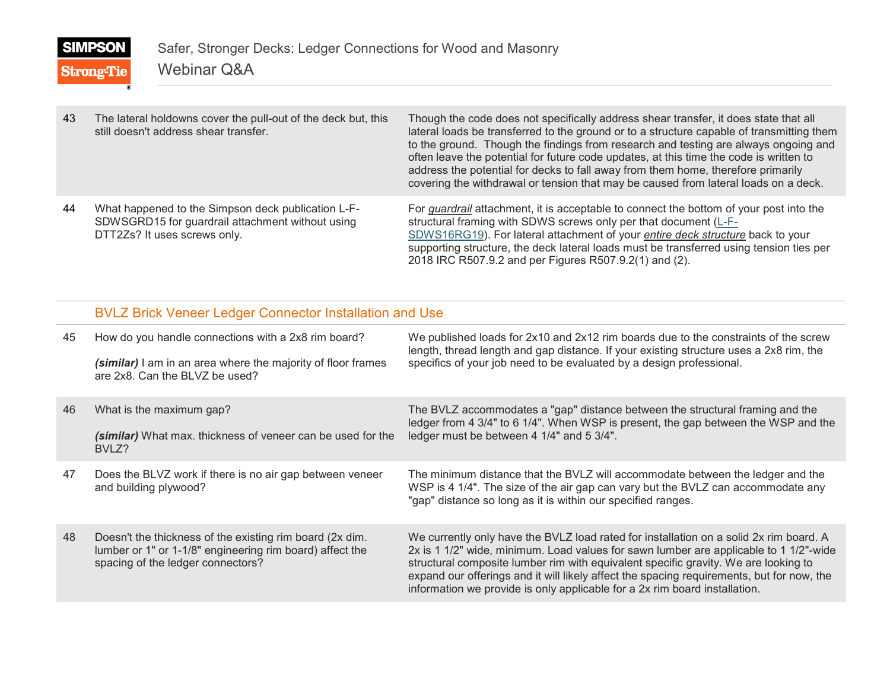**Strong-Tie** 

| 43 | The lateral holdowns cover the pull-out of the deck but, this<br>still doesn't address shear transfer.                                 | Though the code does not specifically address shear transfer, it does state that all<br>lateral loads be transferred to the ground or to a structure capable of transmitting them<br>to the ground. Though the findings from research and testing are always ongoing and<br>often leave the potential for future code updates, at this time the code is written to<br>address the potential for decks to fall away from them home, therefore primarily<br>covering the withdrawal or tension that may be caused from lateral loads on a deck. |
|----|----------------------------------------------------------------------------------------------------------------------------------------|-----------------------------------------------------------------------------------------------------------------------------------------------------------------------------------------------------------------------------------------------------------------------------------------------------------------------------------------------------------------------------------------------------------------------------------------------------------------------------------------------------------------------------------------------|
| 44 | What happened to the Simpson deck publication L-F-<br>SDWSGRD15 for guardrail attachment without using<br>DTT2Zs? It uses screws only. | For <i>guardrail</i> attachment, it is acceptable to connect the bottom of your post into the<br>structural framing with SDWS screws only per that document (L-F-<br>SDWS16RG19). For lateral attachment of your entire deck structure back to your<br>supporting structure, the deck lateral loads must be transferred using tension ties per<br>2018 IRC R507.9.2 and per Figures R507.9.2(1) and (2).                                                                                                                                      |

#### BVLZ Brick Veneer Ledger Connector Installation and Use

| 45 | How do you handle connections with a 2x8 rim board?<br>(similar) I am in an area where the majority of floor frames<br>are 2x8. Can the BLVZ be used?     | We published loads for 2x10 and 2x12 rim boards due to the constraints of the screw<br>length, thread length and gap distance. If your existing structure uses a 2x8 rim, the<br>specifics of your job need to be evaluated by a design professional.                                                                                                                                                                                             |
|----|-----------------------------------------------------------------------------------------------------------------------------------------------------------|---------------------------------------------------------------------------------------------------------------------------------------------------------------------------------------------------------------------------------------------------------------------------------------------------------------------------------------------------------------------------------------------------------------------------------------------------|
| 46 | What is the maximum gap?<br>(similar) What max. thickness of veneer can be used for the<br>BVLZ?                                                          | The BVLZ accommodates a "gap" distance between the structural framing and the<br>ledger from 4 3/4" to 6 1/4". When WSP is present, the gap between the WSP and the<br>ledger must be between 4 1/4" and 5 3/4".                                                                                                                                                                                                                                  |
| 47 | Does the BLVZ work if there is no air gap between veneer<br>and building plywood?                                                                         | The minimum distance that the BVLZ will accommodate between the ledger and the<br>WSP is 4 1/4". The size of the air gap can vary but the BVLZ can accommodate any<br>"gap" distance so long as it is within our specified ranges.                                                                                                                                                                                                                |
| 48 | Doesn't the thickness of the existing rim board (2x dim.<br>lumber or 1" or 1-1/8" engineering rim board) affect the<br>spacing of the ledger connectors? | We currently only have the BVLZ load rated for installation on a solid 2x rim board. A<br>2x is 1 1/2" wide, minimum. Load values for sawn lumber are applicable to 1 1/2"-wide<br>structural composite lumber rim with equivalent specific gravity. We are looking to<br>expand our offerings and it will likely affect the spacing requirements, but for now, the<br>information we provide is only applicable for a 2x rim board installation. |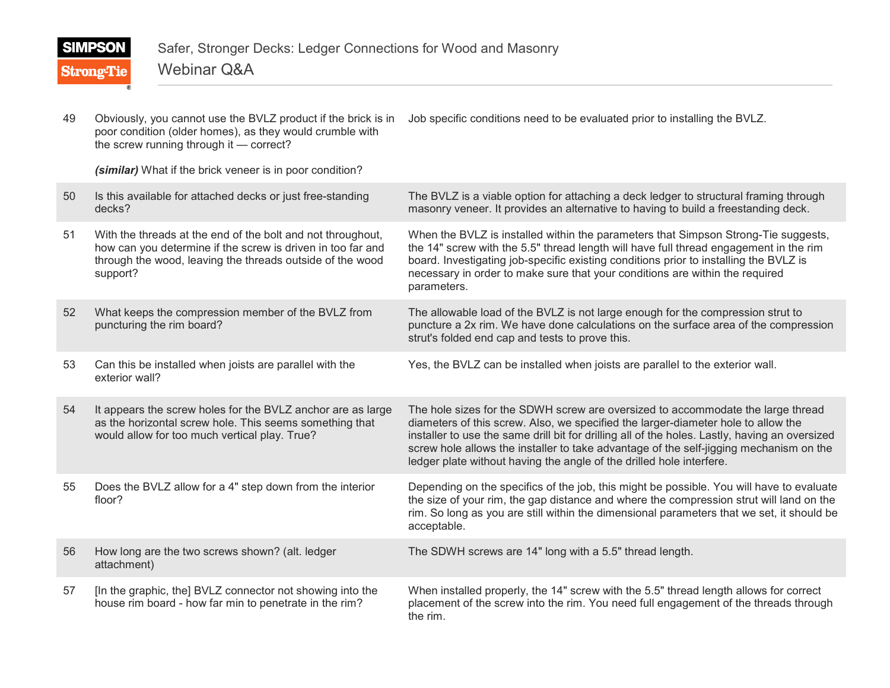| 49 | Obviously, you cannot use the BVLZ product if the brick is in<br>poor condition (older homes), as they would crumble with<br>the screw running through it - correct?                                | Job specific conditions need to be evaluated prior to installing the BVLZ.                                                                                                                                                                                                                                                                                                                                                               |
|----|-----------------------------------------------------------------------------------------------------------------------------------------------------------------------------------------------------|------------------------------------------------------------------------------------------------------------------------------------------------------------------------------------------------------------------------------------------------------------------------------------------------------------------------------------------------------------------------------------------------------------------------------------------|
|    | (similar) What if the brick veneer is in poor condition?                                                                                                                                            |                                                                                                                                                                                                                                                                                                                                                                                                                                          |
| 50 | Is this available for attached decks or just free-standing<br>decks?                                                                                                                                | The BVLZ is a viable option for attaching a deck ledger to structural framing through<br>masonry veneer. It provides an alternative to having to build a freestanding deck.                                                                                                                                                                                                                                                              |
| 51 | With the threads at the end of the bolt and not throughout,<br>how can you determine if the screw is driven in too far and<br>through the wood, leaving the threads outside of the wood<br>support? | When the BVLZ is installed within the parameters that Simpson Strong-Tie suggests,<br>the 14" screw with the 5.5" thread length will have full thread engagement in the rim<br>board. Investigating job-specific existing conditions prior to installing the BVLZ is<br>necessary in order to make sure that your conditions are within the required<br>parameters.                                                                      |
| 52 | What keeps the compression member of the BVLZ from<br>puncturing the rim board?                                                                                                                     | The allowable load of the BVLZ is not large enough for the compression strut to<br>puncture a 2x rim. We have done calculations on the surface area of the compression<br>strut's folded end cap and tests to prove this.                                                                                                                                                                                                                |
| 53 | Can this be installed when joists are parallel with the<br>exterior wall?                                                                                                                           | Yes, the BVLZ can be installed when joists are parallel to the exterior wall.                                                                                                                                                                                                                                                                                                                                                            |
| 54 | It appears the screw holes for the BVLZ anchor are as large<br>as the horizontal screw hole. This seems something that<br>would allow for too much vertical play. True?                             | The hole sizes for the SDWH screw are oversized to accommodate the large thread<br>diameters of this screw. Also, we specified the larger-diameter hole to allow the<br>installer to use the same drill bit for drilling all of the holes. Lastly, having an oversized<br>screw hole allows the installer to take advantage of the self-jigging mechanism on the<br>ledger plate without having the angle of the drilled hole interfere. |
| 55 | Does the BVLZ allow for a 4" step down from the interior<br>floor?                                                                                                                                  | Depending on the specifics of the job, this might be possible. You will have to evaluate<br>the size of your rim, the gap distance and where the compression strut will land on the<br>rim. So long as you are still within the dimensional parameters that we set, it should be<br>acceptable.                                                                                                                                          |
| 56 | How long are the two screws shown? (alt. ledger<br>attachment)                                                                                                                                      | The SDWH screws are 14" long with a 5.5" thread length.                                                                                                                                                                                                                                                                                                                                                                                  |
| 57 | [In the graphic, the] BVLZ connector not showing into the<br>house rim board - how far min to penetrate in the rim?                                                                                 | When installed properly, the 14" screw with the 5.5" thread length allows for correct<br>placement of the screw into the rim. You need full engagement of the threads through<br>the rim.                                                                                                                                                                                                                                                |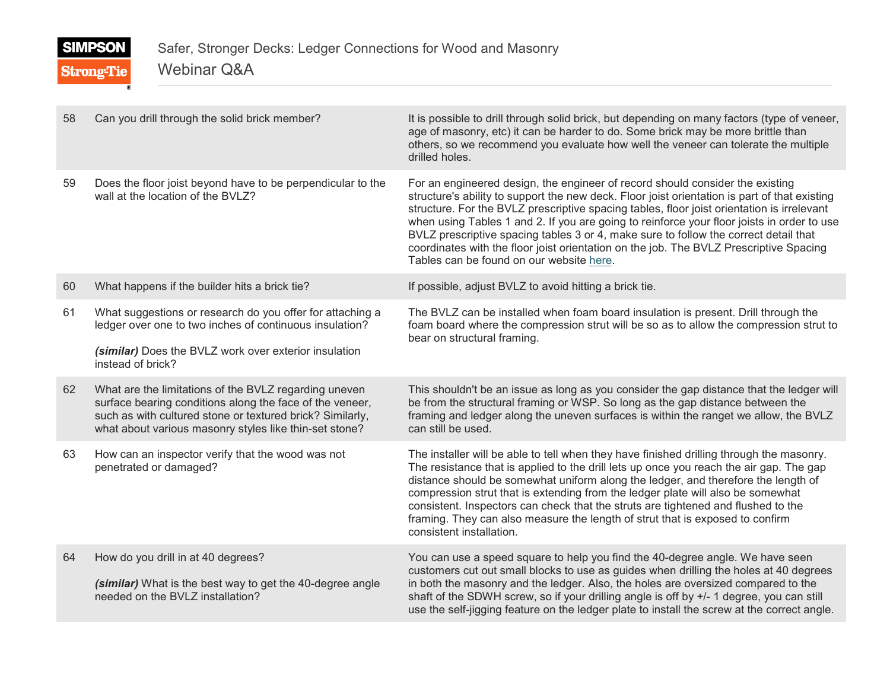Webinar Q&A **Strong-Tie** 

| 58 | Can you drill through the solid brick member?                                                                                                                                                                                            | It is possible to drill through solid brick, but depending on many factors (type of veneer,<br>age of masonry, etc) it can be harder to do. Some brick may be more brittle than<br>others, so we recommend you evaluate how well the veneer can tolerate the multiple<br>drilled holes.                                                                                                                                                                                                                                                                                                                  |
|----|------------------------------------------------------------------------------------------------------------------------------------------------------------------------------------------------------------------------------------------|----------------------------------------------------------------------------------------------------------------------------------------------------------------------------------------------------------------------------------------------------------------------------------------------------------------------------------------------------------------------------------------------------------------------------------------------------------------------------------------------------------------------------------------------------------------------------------------------------------|
| 59 | Does the floor joist beyond have to be perpendicular to the<br>wall at the location of the BVLZ?                                                                                                                                         | For an engineered design, the engineer of record should consider the existing<br>structure's ability to support the new deck. Floor joist orientation is part of that existing<br>structure. For the BVLZ prescriptive spacing tables, floor joist orientation is irrelevant<br>when using Tables 1 and 2. If you are going to reinforce your floor joists in order to use<br>BVLZ prescriptive spacing tables 3 or 4, make sure to follow the correct detail that<br>coordinates with the floor joist orientation on the job. The BVLZ Prescriptive Spacing<br>Tables can be found on our website here. |
| 60 | What happens if the builder hits a brick tie?                                                                                                                                                                                            | If possible, adjust BVLZ to avoid hitting a brick tie.                                                                                                                                                                                                                                                                                                                                                                                                                                                                                                                                                   |
| 61 | What suggestions or research do you offer for attaching a<br>ledger over one to two inches of continuous insulation?<br>(similar) Does the BVLZ work over exterior insulation<br>instead of brick?                                       | The BVLZ can be installed when foam board insulation is present. Drill through the<br>foam board where the compression strut will be so as to allow the compression strut to<br>bear on structural framing.                                                                                                                                                                                                                                                                                                                                                                                              |
| 62 | What are the limitations of the BVLZ regarding uneven<br>surface bearing conditions along the face of the veneer,<br>such as with cultured stone or textured brick? Similarly,<br>what about various masonry styles like thin-set stone? | This shouldn't be an issue as long as you consider the gap distance that the ledger will<br>be from the structural framing or WSP. So long as the gap distance between the<br>framing and ledger along the uneven surfaces is within the ranget we allow, the BVLZ<br>can still be used.                                                                                                                                                                                                                                                                                                                 |
| 63 | How can an inspector verify that the wood was not<br>penetrated or damaged?                                                                                                                                                              | The installer will be able to tell when they have finished drilling through the masonry.<br>The resistance that is applied to the drill lets up once you reach the air gap. The gap<br>distance should be somewhat uniform along the ledger, and therefore the length of<br>compression strut that is extending from the ledger plate will also be somewhat<br>consistent. Inspectors can check that the struts are tightened and flushed to the<br>framing. They can also measure the length of strut that is exposed to confirm<br>consistent installation.                                            |
| 64 | How do you drill in at 40 degrees?<br>(similar) What is the best way to get the 40-degree angle<br>needed on the BVLZ installation?                                                                                                      | You can use a speed square to help you find the 40-degree angle. We have seen<br>customers cut out small blocks to use as guides when drilling the holes at 40 degrees<br>in both the masonry and the ledger. Also, the holes are oversized compared to the<br>shaft of the SDWH screw, so if your drilling angle is off by +/- 1 degree, you can still<br>use the self-jigging feature on the ledger plate to install the screw at the correct angle.                                                                                                                                                   |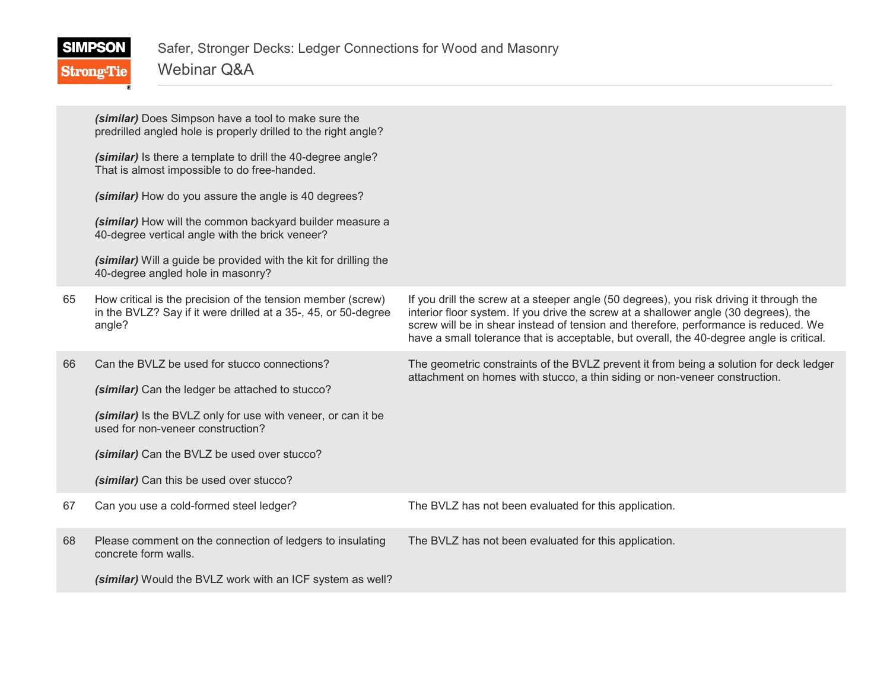|    | (similar) Does Simpson have a tool to make sure the<br>predrilled angled hole is properly drilled to the right angle?                   |                                                                                                                                                                                                                                                                                                                                                                    |
|----|-----------------------------------------------------------------------------------------------------------------------------------------|--------------------------------------------------------------------------------------------------------------------------------------------------------------------------------------------------------------------------------------------------------------------------------------------------------------------------------------------------------------------|
|    | (similar) Is there a template to drill the 40-degree angle?<br>That is almost impossible to do free-handed.                             |                                                                                                                                                                                                                                                                                                                                                                    |
|    | (similar) How do you assure the angle is 40 degrees?                                                                                    |                                                                                                                                                                                                                                                                                                                                                                    |
|    | (similar) How will the common backyard builder measure a<br>40-degree vertical angle with the brick veneer?                             |                                                                                                                                                                                                                                                                                                                                                                    |
|    | (similar) Will a guide be provided with the kit for drilling the<br>40-degree angled hole in masonry?                                   |                                                                                                                                                                                                                                                                                                                                                                    |
| 65 | How critical is the precision of the tension member (screw)<br>in the BVLZ? Say if it were drilled at a 35-, 45, or 50-degree<br>angle? | If you drill the screw at a steeper angle (50 degrees), you risk driving it through the<br>interior floor system. If you drive the screw at a shallower angle (30 degrees), the<br>screw will be in shear instead of tension and therefore, performance is reduced. We<br>have a small tolerance that is acceptable, but overall, the 40-degree angle is critical. |
| 66 | Can the BVLZ be used for stucco connections?<br>(similar) Can the ledger be attached to stucco?                                         | The geometric constraints of the BVLZ prevent it from being a solution for deck ledger<br>attachment on homes with stucco, a thin siding or non-veneer construction.                                                                                                                                                                                               |
|    | (similar) Is the BVLZ only for use with veneer, or can it be<br>used for non-veneer construction?                                       |                                                                                                                                                                                                                                                                                                                                                                    |
|    | (similar) Can the BVLZ be used over stucco?                                                                                             |                                                                                                                                                                                                                                                                                                                                                                    |
|    | (similar) Can this be used over stucco?                                                                                                 |                                                                                                                                                                                                                                                                                                                                                                    |
| 67 | Can you use a cold-formed steel ledger?                                                                                                 | The BVLZ has not been evaluated for this application.                                                                                                                                                                                                                                                                                                              |
| 68 | Please comment on the connection of ledgers to insulating<br>concrete form walls.                                                       | The BVLZ has not been evaluated for this application.                                                                                                                                                                                                                                                                                                              |
|    | (similar) Would the BVLZ work with an ICF system as well?                                                                               |                                                                                                                                                                                                                                                                                                                                                                    |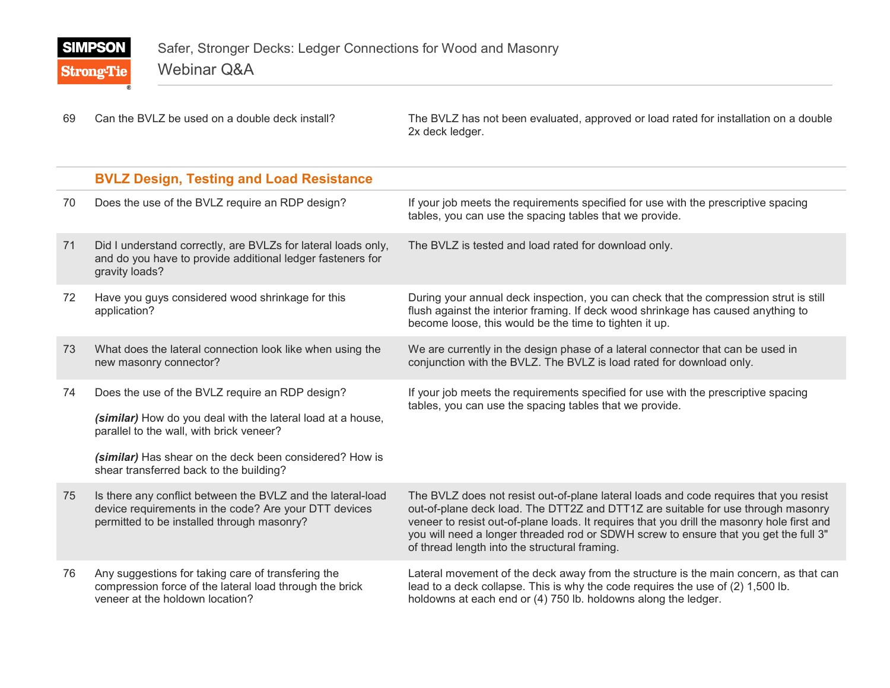**Strong-Tie** 

69 Can the BVLZ be used on a double deck install? The BVLZ has not been evaluated, approved or load rated for installation on a double 2x deck ledger.

|    | <b>BVLZ Design, Testing and Load Resistance</b>                                                                                                                                                                                                                  |                                                                                                                                                                                                                                                                                                                                                                                                                  |
|----|------------------------------------------------------------------------------------------------------------------------------------------------------------------------------------------------------------------------------------------------------------------|------------------------------------------------------------------------------------------------------------------------------------------------------------------------------------------------------------------------------------------------------------------------------------------------------------------------------------------------------------------------------------------------------------------|
| 70 | Does the use of the BVLZ require an RDP design?                                                                                                                                                                                                                  | If your job meets the requirements specified for use with the prescriptive spacing<br>tables, you can use the spacing tables that we provide.                                                                                                                                                                                                                                                                    |
| 71 | Did I understand correctly, are BVLZs for lateral loads only,<br>and do you have to provide additional ledger fasteners for<br>gravity loads?                                                                                                                    | The BVLZ is tested and load rated for download only.                                                                                                                                                                                                                                                                                                                                                             |
| 72 | Have you guys considered wood shrinkage for this<br>application?                                                                                                                                                                                                 | During your annual deck inspection, you can check that the compression strut is still<br>flush against the interior framing. If deck wood shrinkage has caused anything to<br>become loose, this would be the time to tighten it up.                                                                                                                                                                             |
| 73 | What does the lateral connection look like when using the<br>new masonry connector?                                                                                                                                                                              | We are currently in the design phase of a lateral connector that can be used in<br>conjunction with the BVLZ. The BVLZ is load rated for download only.                                                                                                                                                                                                                                                          |
| 74 | Does the use of the BVLZ require an RDP design?<br>(similar) How do you deal with the lateral load at a house,<br>parallel to the wall, with brick veneer?<br>(similar) Has shear on the deck been considered? How is<br>shear transferred back to the building? | If your job meets the requirements specified for use with the prescriptive spacing<br>tables, you can use the spacing tables that we provide.                                                                                                                                                                                                                                                                    |
| 75 | Is there any conflict between the BVLZ and the lateral-load<br>device requirements in the code? Are your DTT devices<br>permitted to be installed through masonry?                                                                                               | The BVLZ does not resist out-of-plane lateral loads and code requires that you resist<br>out-of-plane deck load. The DTT2Z and DTT1Z are suitable for use through masonry<br>veneer to resist out-of-plane loads. It requires that you drill the masonry hole first and<br>you will need a longer threaded rod or SDWH screw to ensure that you get the full 3"<br>of thread length into the structural framing. |
| 76 | Any suggestions for taking care of transfering the<br>compression force of the lateral load through the brick<br>veneer at the holdown location?                                                                                                                 | Lateral movement of the deck away from the structure is the main concern, as that can<br>lead to a deck collapse. This is why the code requires the use of (2) 1,500 lb.<br>holdowns at each end or (4) 750 lb. holdowns along the ledger.                                                                                                                                                                       |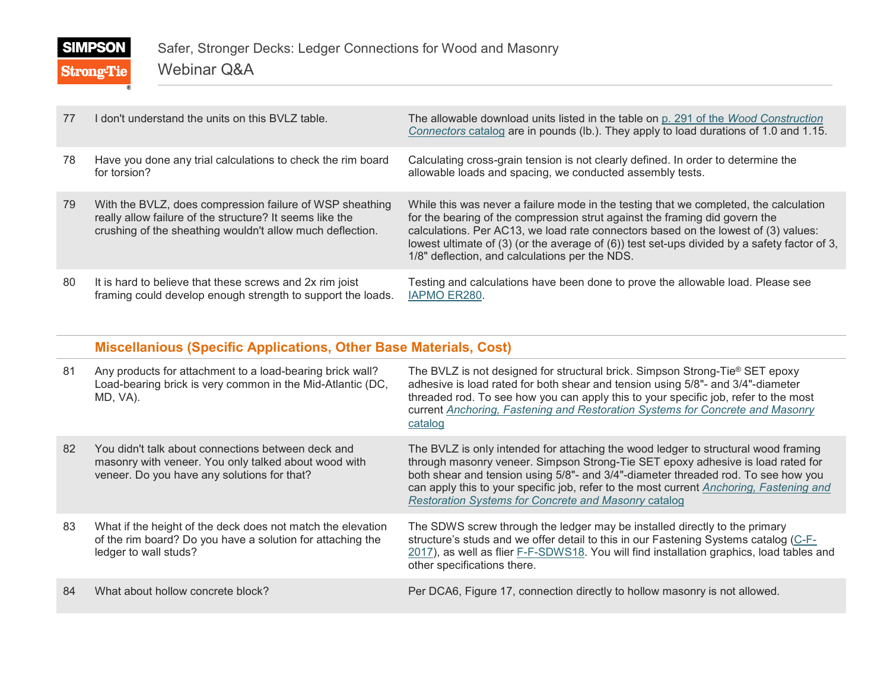## **SIMPSON Strong-Tie**

| 77 | I don't understand the units on this BVLZ table.                                                                                                                                  | The allowable download units listed in the table on p. 291 of the Wood Construction<br>Connectors catalog are in pounds (lb.). They apply to load durations of 1.0 and 1.15.                                                                                                                                                                                                                                      |
|----|-----------------------------------------------------------------------------------------------------------------------------------------------------------------------------------|-------------------------------------------------------------------------------------------------------------------------------------------------------------------------------------------------------------------------------------------------------------------------------------------------------------------------------------------------------------------------------------------------------------------|
| 78 | Have you done any trial calculations to check the rim board<br>for torsion?                                                                                                       | Calculating cross-grain tension is not clearly defined. In order to determine the<br>allowable loads and spacing, we conducted assembly tests.                                                                                                                                                                                                                                                                    |
| 79 | With the BVLZ, does compression failure of WSP sheathing<br>really allow failure of the structure? It seems like the<br>crushing of the sheathing wouldn't allow much deflection. | While this was never a failure mode in the testing that we completed, the calculation<br>for the bearing of the compression strut against the framing did govern the<br>calculations. Per AC13, we load rate connectors based on the lowest of (3) values:<br>lowest ultimate of $(3)$ (or the average of $(6)$ ) test set-ups divided by a safety factor of 3,<br>1/8" deflection, and calculations per the NDS. |
| 80 | It is hard to believe that these screws and 2x rim joist<br>framing could develop enough strength to support the loads.                                                           | Testing and calculations have been done to prove the allowable load. Please see<br>IAPMO ER280.                                                                                                                                                                                                                                                                                                                   |

#### **Miscellanious (Specific Applications, Other Base Materials, Cost)**

| 81 | Any products for attachment to a load-bearing brick wall?<br>Load-bearing brick is very common in the Mid-Atlantic (DC,<br>MD, VA).                       | The BVLZ is not designed for structural brick. Simpson Strong-Tie <sup>®</sup> SET epoxy<br>adhesive is load rated for both shear and tension using 5/8"- and 3/4"-diameter<br>threaded rod. To see how you can apply this to your specific job, refer to the most<br>current Anchoring, Fastening and Restoration Systems for Concrete and Masonry<br>catalog                                                |
|----|-----------------------------------------------------------------------------------------------------------------------------------------------------------|---------------------------------------------------------------------------------------------------------------------------------------------------------------------------------------------------------------------------------------------------------------------------------------------------------------------------------------------------------------------------------------------------------------|
| 82 | You didn't talk about connections between deck and<br>masonry with veneer. You only talked about wood with<br>veneer. Do you have any solutions for that? | The BVLZ is only intended for attaching the wood ledger to structural wood framing<br>through masonry veneer. Simpson Strong-Tie SET epoxy adhesive is load rated for<br>both shear and tension using 5/8"- and 3/4"-diameter threaded rod. To see how you<br>can apply this to your specific job, refer to the most current Anchoring, Fastening and<br>Restoration Systems for Concrete and Masonry catalog |
| 83 | What if the height of the deck does not match the elevation<br>of the rim board? Do you have a solution for attaching the<br>ledger to wall studs?        | The SDWS screw through the ledger may be installed directly to the primary<br>structure's studs and we offer detail to this in our Fastening Systems catalog (C-F-<br>2017), as well as flier F-F-SDWS18. You will find installation graphics, load tables and<br>other specifications there.                                                                                                                 |
| 84 | What about hollow concrete block?                                                                                                                         | Per DCA6, Figure 17, connection directly to hollow masonry is not allowed.                                                                                                                                                                                                                                                                                                                                    |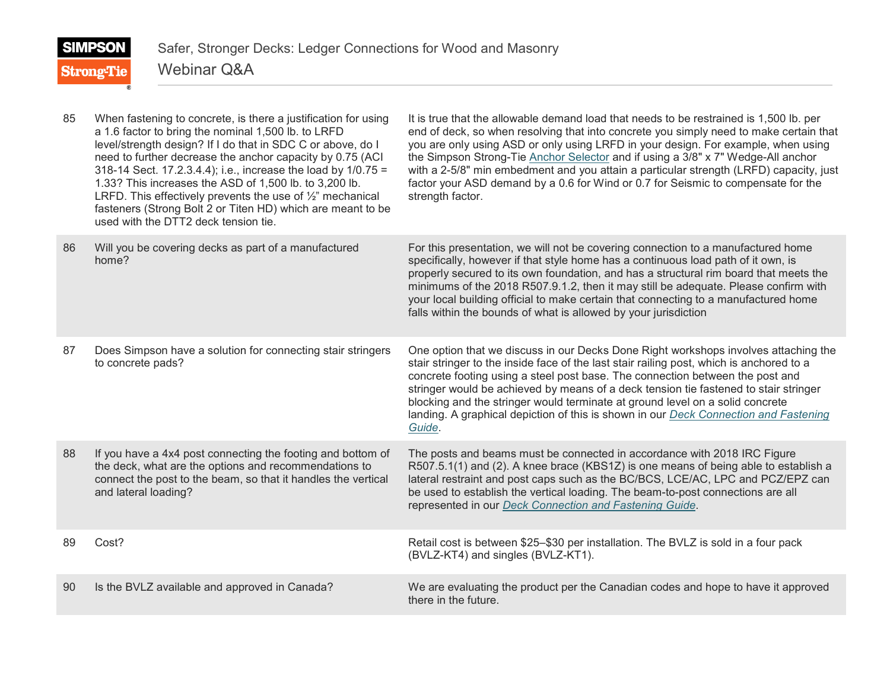| 85 | When fastening to concrete, is there a justification for using<br>a 1.6 factor to bring the nominal 1,500 lb. to LRFD<br>level/strength design? If I do that in SDC C or above, do I<br>need to further decrease the anchor capacity by 0.75 (ACI)<br>318-14 Sect. 17.2.3.4.4); i.e., increase the load by 1/0.75 =<br>1.33? This increases the ASD of 1,500 lb. to 3,200 lb.<br>LRFD. This effectively prevents the use of $\frac{1}{2}$ " mechanical<br>fasteners (Strong Bolt 2 or Titen HD) which are meant to be<br>used with the DTT2 deck tension tie. | It is true that the allowable demand load that needs to be restrained is 1,500 lb. per<br>end of deck, so when resolving that into concrete you simply need to make certain that<br>you are only using ASD or only using LRFD in your design. For example, when using<br>the Simpson Strong-Tie Anchor Selector and if using a 3/8" x 7" Wedge-All anchor<br>with a 2-5/8" min embedment and you attain a particular strength (LRFD) capacity, just<br>factor your ASD demand by a 0.6 for Wind or 0.7 for Seismic to compensate for the<br>strength factor. |
|----|---------------------------------------------------------------------------------------------------------------------------------------------------------------------------------------------------------------------------------------------------------------------------------------------------------------------------------------------------------------------------------------------------------------------------------------------------------------------------------------------------------------------------------------------------------------|--------------------------------------------------------------------------------------------------------------------------------------------------------------------------------------------------------------------------------------------------------------------------------------------------------------------------------------------------------------------------------------------------------------------------------------------------------------------------------------------------------------------------------------------------------------|
| 86 | Will you be covering decks as part of a manufactured<br>home?                                                                                                                                                                                                                                                                                                                                                                                                                                                                                                 | For this presentation, we will not be covering connection to a manufactured home<br>specifically, however if that style home has a continuous load path of it own, is<br>properly secured to its own foundation, and has a structural rim board that meets the<br>minimums of the 2018 R507.9.1.2, then it may still be adequate. Please confirm with<br>your local building official to make certain that connecting to a manufactured home<br>falls within the bounds of what is allowed by your jurisdiction                                              |
| 87 | Does Simpson have a solution for connecting stair stringers<br>to concrete pads?                                                                                                                                                                                                                                                                                                                                                                                                                                                                              | One option that we discuss in our Decks Done Right workshops involves attaching the<br>stair stringer to the inside face of the last stair railing post, which is anchored to a<br>concrete footing using a steel post base. The connection between the post and<br>stringer would be achieved by means of a deck tension tie fastened to stair stringer<br>blocking and the stringer would terminate at ground level on a solid concrete<br>landing. A graphical depiction of this is shown in our Deck Connection and Fastening<br>Guide.                  |
| 88 | If you have a 4x4 post connecting the footing and bottom of<br>the deck, what are the options and recommendations to<br>connect the post to the beam, so that it handles the vertical<br>and lateral loading?                                                                                                                                                                                                                                                                                                                                                 | The posts and beams must be connected in accordance with 2018 IRC Figure<br>R507.5.1(1) and (2). A knee brace (KBS1Z) is one means of being able to establish a<br>lateral restraint and post caps such as the BC/BCS, LCE/AC, LPC and PCZ/EPZ can<br>be used to establish the vertical loading. The beam-to-post connections are all<br>represented in our Deck Connection and Fastening Guide.                                                                                                                                                             |
| 89 | Cost?                                                                                                                                                                                                                                                                                                                                                                                                                                                                                                                                                         | Retail cost is between \$25-\$30 per installation. The BVLZ is sold in a four pack<br>(BVLZ-KT4) and singles (BVLZ-KT1).                                                                                                                                                                                                                                                                                                                                                                                                                                     |
| 90 | Is the BVLZ available and approved in Canada?                                                                                                                                                                                                                                                                                                                                                                                                                                                                                                                 | We are evaluating the product per the Canadian codes and hope to have it approved<br>there in the future.                                                                                                                                                                                                                                                                                                                                                                                                                                                    |